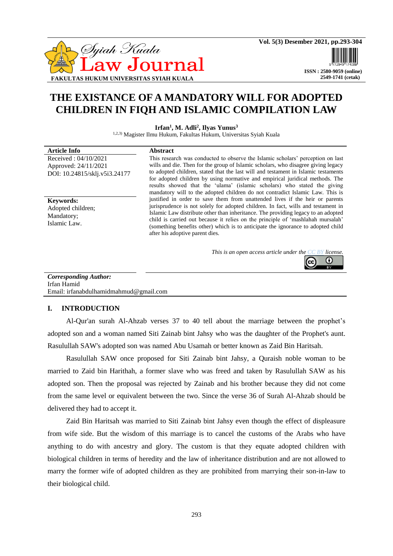

 **2549-1741 (cetak)**

# **THE EXISTANCE OF A MANDATORY WILL FOR ADOPTED CHILDREN IN FIQH AND ISLAMIC COMPILATION LAW**

**Irfan<sup>1</sup> , M. Adli<sup>2</sup> , Ilyas Yunus<sup>3</sup>**

1,2,3) Magister Ilmu Hukum, Fakultas Hukum, Universitas Syiah Kuala

#### **Article Info Abstract** Received : 04/10/2021 Approved: 24/11/2021 DOI: 10.24815/sklj.v5i3.24177 This research was conducted to observe the Islamic scholars' perception on last wills and die. Then for the group of Islamic scholars, who disagree giving legacy to adopted children, stated that the last will and testament in Islamic testaments for adopted children by using normative and empirical juridical methods. The results showed that the 'ulama' (islamic scholars) who stated the giving mandatory will to the adopted children do not contradict Islamic Law. This is justified in order to save them from unattended lives if the heir or parents jurisprudence is not solely for adopted children. In fact, wills and testament in Islamic Law distribute other than inheritance. The providing legacy to an adopted child is carried out because it relies on the principle of 'mashlahah mursalah' (something benefits other) which is to anticipate the ignorance to adopted child after his adoptive parent dies. **Keywords:** Adopted children; Mandatory; Islamic Law.

*This is an open access article under the [CC BY](https://creativecommons.org/licenses/by/4.0/) license.*



*Corresponding Author:* Irfan Hamid Email: [irfanabdulhamidmahmud@gmail.com](mailto:irfanabdulhamidmahmud@gmail.com)

### **I. INTRODUCTION**

Al-Qur'an surah Al-Ahzab verses 37 to 40 tell about the marriage between the prophet's adopted son and a woman named Siti Zainab bint Jahsy who was the daughter of the Prophet's aunt. Rasulullah SAW's adopted son was named Abu Usamah or better known as Zaid Bin Haritsah.

Rasulullah SAW once proposed for Siti Zainab bint Jahsy, a Quraish noble woman to be married to Zaid bin Harithah, a former slave who was freed and taken by Rasulullah SAW as his adopted son. Then the proposal was rejected by Zainab and his brother because they did not come from the same level or equivalent between the two. Since the verse 36 of Surah Al-Ahzab should be delivered they had to accept it.

Zaid Bin Haritsah was married to Siti Zainab bint Jahsy even though the effect of displeasure from wife side. But the wisdom of this marriage is to cancel the customs of the Arabs who have anything to do with ancestry and glory. The custom is that they equate adopted children with biological children in terms of heredity and the law of inheritance distribution and are not allowed to marry the former wife of adopted children as they are prohibited from marrying their son-in-law to their biological child.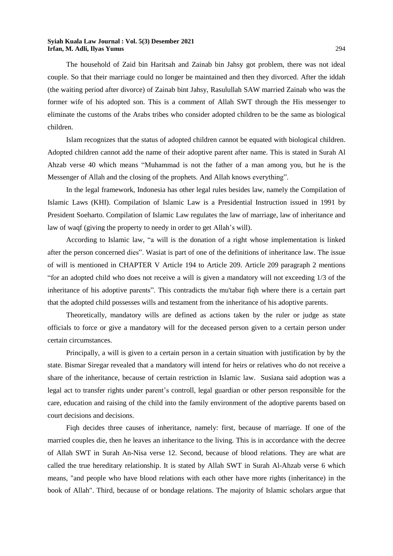The household of Zaid bin Haritsah and Zainab bin Jahsy got problem, there was not ideal couple. So that their marriage could no longer be maintained and then they divorced. After the iddah (the waiting period after divorce) of Zainab bint Jahsy, Rasulullah SAW married Zainab who was the former wife of his adopted son. This is a comment of Allah SWT through the His messenger to eliminate the customs of the Arabs tribes who consider adopted children to be the same as biological children.

Islam recognizes that the status of adopted children cannot be equated with biological children. Adopted children cannot add the name of their adoptive parent after name. This is stated in Surah Al Ahzab verse 40 which means "Muhammad is not the father of a man among you, but he is the Messenger of Allah and the closing of the prophets. And Allah knows everything".

In the legal framework, Indonesia has other legal rules besides law, namely the Compilation of Islamic Laws (KHI). Compilation of Islamic Law is a Presidential Instruction issued in 1991 by President Soeharto. Compilation of Islamic Law regulates the law of marriage, law of inheritance and law of waqf (giving the property to needy in order to get Allah's will).

According to Islamic law, "a will is the donation of a right whose implementation is linked after the person concerned dies". Wasiat is part of one of the definitions of inheritance law. The issue of will is mentioned in CHAPTER V Article 194 to Article 209. Article 209 paragraph 2 mentions "for an adopted child who does not receive a will is given a mandatory will not exceeding 1/3 of the inheritance of his adoptive parents". This contradicts the mu'tabar fiqh where there is a certain part that the adopted child possesses wills and testament from the inheritance of his adoptive parents.

Theoretically, mandatory wills are defined as actions taken by the ruler or judge as state officials to force or give a mandatory will for the deceased person given to a certain person under certain circumstances.

Principally, a will is given to a certain person in a certain situation with justification by by the state. Bismar Siregar revealed that a mandatory will intend for heirs or relatives who do not receive a share of the inheritance, because of certain restriction in Islamic law. Susiana said adoption was a legal act to transfer rights under parent's controll, legal guardian or other person responsible for the care, education and raising of the child into the family environment of the adoptive parents based on court decisions and decisions.

Fiqh decides three causes of inheritance, namely: first, because of marriage. If one of the married couples die, then he leaves an inheritance to the living. This is in accordance with the decree of Allah SWT in Surah An-Nisa verse 12. Second, because of blood relations. They are what are called the true hereditary relationship. It is stated by Allah SWT in Surah Al-Ahzab verse 6 which means, "and people who have blood relations with each other have more rights (inheritance) in the book of Allah". Third, because of or bondage relations. The majority of Islamic scholars argue that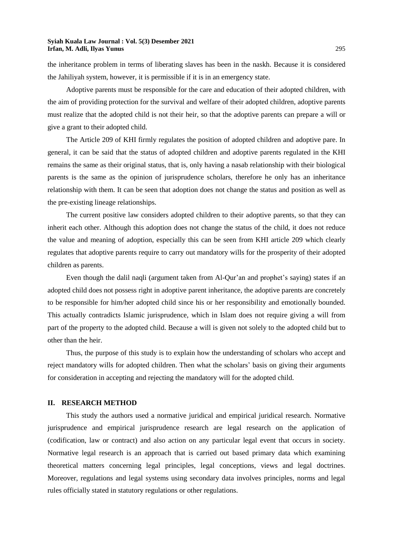the inheritance problem in terms of liberating slaves has been in the naskh. Because it is considered the Jahiliyah system, however, it is permissible if it is in an emergency state.

Adoptive parents must be responsible for the care and education of their adopted children, with the aim of providing protection for the survival and welfare of their adopted children, adoptive parents must realize that the adopted child is not their heir, so that the adoptive parents can prepare a will or give a grant to their adopted child.

The Article 209 of KHI firmly regulates the position of adopted children and adoptive pare. In general, it can be said that the status of adopted children and adoptive parents regulated in the KHI remains the same as their original status, that is, only having a nasab relationship with their biological parents is the same as the opinion of jurisprudence scholars, therefore he only has an inheritance relationship with them. It can be seen that adoption does not change the status and position as well as the pre-existing lineage relationships.

The current positive law considers adopted children to their adoptive parents, so that they can inherit each other. Although this adoption does not change the status of the child, it does not reduce the value and meaning of adoption, especially this can be seen from KHI article 209 which clearly regulates that adoptive parents require to carry out mandatory wills for the prosperity of their adopted children as parents.

Even though the dalil naqli (argument taken from Al-Qur'an and prophet's saying) states if an adopted child does not possess right in adoptive parent inheritance, the adoptive parents are concretely to be responsible for him/her adopted child since his or her responsibility and emotionally bounded. This actually contradicts Islamic jurisprudence, which in Islam does not require giving a will from part of the property to the adopted child. Because a will is given not solely to the adopted child but to other than the heir.

Thus, the purpose of this study is to explain how the understanding of scholars who accept and reject mandatory wills for adopted children. Then what the scholars' basis on giving their arguments for consideration in accepting and rejecting the mandatory will for the adopted child.

#### **II. RESEARCH METHOD**

This study the authors used a normative juridical and empirical juridical research. Normative jurisprudence and empirical jurisprudence research are legal research on the application of (codification, law or contract) and also action on any particular legal event that occurs in society. Normative legal research is an approach that is carried out based primary data which examining theoretical matters concerning legal principles, legal conceptions, views and legal doctrines. Moreover, regulations and legal systems using secondary data involves principles, norms and legal rules officially stated in statutory regulations or other regulations.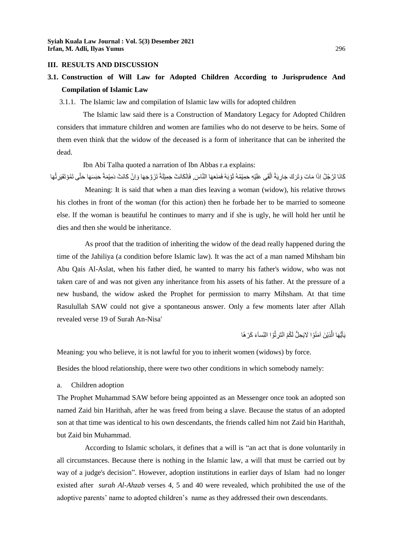#### **III. RESULTS AND DISCUSSION**

### **3.1. Construction of Will Law for Adopted Children According to Jurisprudence And Compilation of Islamic Law**

3.1.1. The Islamic law and compilation of Islamic law wills for adopted children

The Islamic law said there is a Construction of Mandatory Legacy for Adopted Children considers that immature children and women are families who do not deserve to be heirs. Some of them even think that the widow of the deceased is a form of inheritance that can be inherited the dead.

Ibn Abi Talha quoted a narration of Ibn Abbas r.a explains:

كَانَا لرَّجُلُ اِذَا مَاتَ وَتَرَكَ جَارِيَةً ٱلْقَى عَلَيْهِ حَمِيْمُهُ ثَوْبَهُ فَمَنَعَهَا النَّاسَ, فَاِنْكَانَتْ جَمِيْلَةً تَزَوَّجَهَا وَاِنْ كَانَتْ دَمِيْمَةً حَبَسَهَا حَتَّى تَمُوْتَفَيَرِتُهَا ْ اً<br>ا

Meaning: It is said that when a man dies leaving a woman (widow), his relative throws his clothes in front of the woman (for this action) then he forbade her to be married to someone else. If the woman is beautiful he continues to marry and if she is ugly, he will hold her until he dies and then she would be inheritance.

As proof that the tradition of inheriting the widow of the dead really happened during the time of the Jahiliya (a condition before Islamic law). It was the act of a man named Mihsham bin Abu Qais Al-Aslat, when his father died, he wanted to marry his father's widow, who was not taken care of and was not given any inheritance from his assets of his father. At the pressure of a new husband, the widow asked the Prophet for permission to marry Mihsham. At that time Rasulullah SAW could not give a spontaneous answer. Only a few moments later after Allah revealed verse 19 of Surah An-Nisa'

> يَآَيُّهَا الَّذِيْنَ اَمَنُوْا لَايَحِلُّ لَكُمْ اَنْتَرِتُوْا النِّساَءَ كَرْ هَا ُ َّ

Meaning: you who believe, it is not lawful for you to inherit women (widows) by force.

Besides the blood relationship, there were two other conditions in which somebody namely:

a. Children adoption

The Prophet Muhammad SAW before being appointed as an Messenger once took an adopted son named Zaid bin Harithah, after he was freed from being a slave. Because the status of an adopted son at that time was identical to his own descendants, the friends called him not Zaid bin Harithah, but Zaid bin Muhammad.

According to Islamic scholars, it defines that a will is "an act that is done voluntarily in all circumstances. Because there is nothing in the Islamic law, a will that must be carried out by way of a judge's decision". However, adoption institutions in earlier days of Islam had no longer existed after *surah Al-Ahzab* verses 4, 5 and 40 were revealed, which prohibited the use of the adoptive parents' name to adopted children's name as they addressed their own descendants.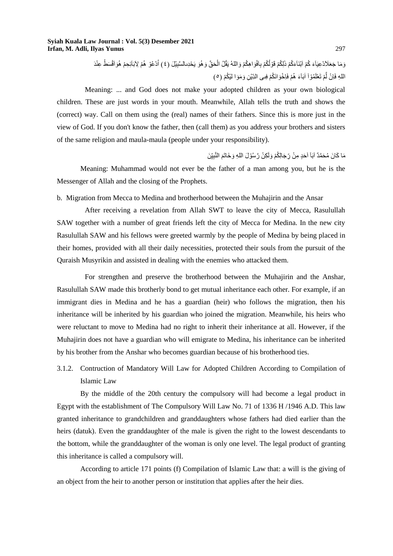```
وَمَا جَعَلَاَدْعِيَآءَ كُمْ اَبْنَآءَكُمْ ذَلِكُمْ قَوْلُكُمْ بِاَفْوَاهِكُمْ وَاللهُ يَقُلُ الْحَقَّ وَهُوَ يَحْدِىالسَّبِيْلَ (٤) اُدْعُوْ هُمْ لِأَبَائِحِمْ هُوَاَقْسَطُ عِنْدَ
                                                ِ
                                                                             ْ
                                                                          اللهِ فَاِنْ لَمْ تَعْلَمُوْاً اَبَآءَ هُمْ فَاِخْوَانَكُمْ فِى الدِّيْنِ وَمَوَا لَيْكُمْ (ㅇ)
```
Meaning: ... and God does not make your adopted children as your own biological children. These are just words in your mouth. Meanwhile, Allah tells the truth and shows the (correct) way. Call on them using the (real) names of their fathers. Since this is more just in the view of God. If you don't know the father, then (call them) as you address your brothers and sisters of the same religion and maula-maula (people under your responsibility).

> مَا كَانَ مُحَمَّدٌ آبَآ اَحَدٍ مِنْ رِّجَالِكُمْ وَلَٰكِنْ رَّسُوْلَ اللهِ وَخَاتَمَ النَّبِيِّنَ ِ َ

Meaning: Muhammad would not ever be the father of a man among you, but he is the Messenger of Allah and the closing of the Prophets.

b. Migration from Mecca to Medina and brotherhood between the Muhajirin and the Ansar

After receiving a revelation from Allah SWT to leave the city of Mecca, Rasulullah SAW together with a number of great friends left the city of Mecca for Medina. In the new city Rasulullah SAW and his fellows were greeted warmly by the people of Medina by being placed in their homes, provided with all their daily necessities, protected their souls from the pursuit of the Quraish Musyrikin and assisted in dealing with the enemies who attacked them.

For strengthen and preserve the brotherhood between the Muhajirin and the Anshar, Rasulullah SAW made this brotherly bond to get mutual inheritance each other. For example, if an immigrant dies in Medina and he has a guardian (heir) who follows the migration, then his inheritance will be inherited by his guardian who joined the migration. Meanwhile, his heirs who were reluctant to move to Medina had no right to inherit their inheritance at all. However, if the Muhajirin does not have a guardian who will emigrate to Medina, his inheritance can be inherited by his brother from the Anshar who becomes guardian because of his brotherhood ties.

3.1.2. Contruction of Mandatory Will Law for Adopted Children According to Compilation of Islamic Law

By the middle of the 20th century the compulsory will had become a legal product in Egypt with the establishment of The Compulsory Will Law No. 71 of 1336 H /1946 A.D. This law granted inheritance to grandchildren and granddaughters whose fathers had died earlier than the heirs (datuk). Even the granddaughter of the male is given the right to the lowest descendants to the bottom, while the granddaughter of the woman is only one level. The legal product of granting this inheritance is called a compulsory will.

According to article 171 points (f) Compilation of Islamic Law that: a will is the giving of an object from the heir to another person or institution that applies after the heir dies.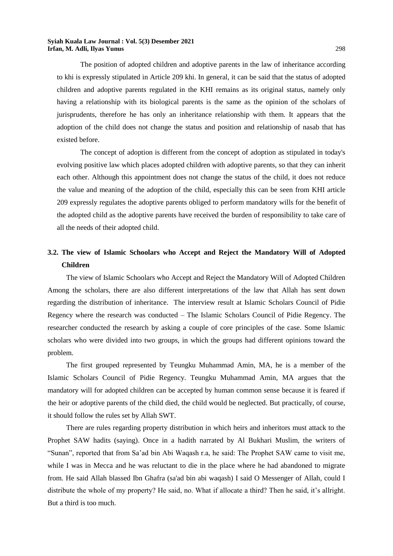The position of adopted children and adoptive parents in the law of inheritance according to khi is expressly stipulated in Article 209 khi. In general, it can be said that the status of adopted children and adoptive parents regulated in the KHI remains as its original status, namely only having a relationship with its biological parents is the same as the opinion of the scholars of jurisprudents, therefore he has only an inheritance relationship with them. It appears that the adoption of the child does not change the status and position and relationship of nasab that has existed before.

The concept of adoption is different from the concept of adoption as stipulated in today's evolving positive law which places adopted children with adoptive parents, so that they can inherit each other. Although this appointment does not change the status of the child, it does not reduce the value and meaning of the adoption of the child, especially this can be seen from KHI article 209 expressly regulates the adoptive parents obliged to perform mandatory wills for the benefit of the adopted child as the adoptive parents have received the burden of responsibility to take care of all the needs of their adopted child.

## **3.2. The view of Islamic Schoolars who Accept and Reject the Mandatory Will of Adopted Children**

The view of Islamic Schoolars who Accept and Reject the Mandatory Will of Adopted Children Among the scholars, there are also different interpretations of the law that Allah has sent down regarding the distribution of inheritance. The interview result at Islamic Scholars Council of Pidie Regency where the research was conducted – The Islamic Scholars Council of Pidie Regency. The researcher conducted the research by asking a couple of core principles of the case. Some Islamic scholars who were divided into two groups, in which the groups had different opinions toward the problem.

The first grouped represented by Teungku Muhammad Amin, MA, he is a member of the Islamic Scholars Council of Pidie Regency. Teungku Muhammad Amin, MA argues that the mandatory will for adopted children can be accepted by human common sense because it is feared if the heir or adoptive parents of the child died, the child would be neglected. But practically, of course, it should follow the rules set by Allah SWT.

There are rules regarding property distribution in which heirs and inheritors must attack to the Prophet SAW hadits (saying). Once in a hadith narrated by Al Bukhari Muslim, the writers of "Sunan", reported that from Sa'ad bin Abi Waqash r.a, he said: The Prophet SAW came to visit me, while I was in Mecca and he was reluctant to die in the place where he had abandoned to migrate from. He said Allah blassed Ibn Ghafra (sa'ad bin abi waqash) I said O Messenger of Allah, could I distribute the whole of my property? He said, no. What if allocate a third? Then he said, it's allright. But a third is too much.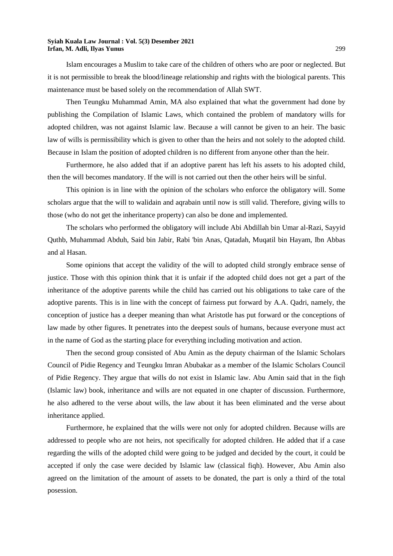Islam encourages a Muslim to take care of the children of others who are poor or neglected. But it is not permissible to break the blood/lineage relationship and rights with the biological parents. This maintenance must be based solely on the recommendation of Allah SWT.

Then Teungku Muhammad Amin, MA also explained that what the government had done by publishing the Compilation of Islamic Laws, which contained the problem of mandatory wills for adopted children, was not against Islamic law. Because a will cannot be given to an heir. The basic law of wills is permissibility which is given to other than the heirs and not solely to the adopted child. Because in Islam the position of adopted children is no different from anyone other than the heir.

Furthermore, he also added that if an adoptive parent has left his assets to his adopted child, then the will becomes mandatory. If the will is not carried out then the other heirs will be sinful.

This opinion is in line with the opinion of the scholars who enforce the obligatory will. Some scholars argue that the will to walidain and aqrabain until now is still valid. Therefore, giving wills to those (who do not get the inheritance property) can also be done and implemented.

The scholars who performed the obligatory will include Abi Abdillah bin Umar al-Razi, Sayyid Quthb, Muhammad Abduh, Said bin Jabir, Rabi 'bin Anas, Qatadah, Muqatil bin Hayam, Ibn Abbas and al Hasan.

Some opinions that accept the validity of the will to adopted child strongly embrace sense of justice. Those with this opinion think that it is unfair if the adopted child does not get a part of the inheritance of the adoptive parents while the child has carried out his obligations to take care of the adoptive parents. This is in line with the concept of fairness put forward by A.A. Qadri, namely, the conception of justice has a deeper meaning than what Aristotle has put forward or the conceptions of law made by other figures. It penetrates into the deepest souls of humans, because everyone must act in the name of God as the starting place for everything including motivation and action.

Then the second group consisted of Abu Amin as the deputy chairman of the Islamic Scholars Council of Pidie Regency and Teungku Imran Abubakar as a member of the Islamic Scholars Council of Pidie Regency. They argue that wills do not exist in Islamic law. Abu Amin said that in the fiqh (Islamic law) book, inheritance and wills are not equated in one chapter of discussion. Furthermore, he also adhered to the verse about wills, the law about it has been eliminated and the verse about inheritance applied.

Furthermore, he explained that the wills were not only for adopted children. Because wills are addressed to people who are not heirs, not specifically for adopted children. He added that if a case regarding the wills of the adopted child were going to be judged and decided by the court, it could be accepted if only the case were decided by Islamic law (classical fiqh). However, Abu Amin also agreed on the limitation of the amount of assets to be donated, the part is only a third of the total posession.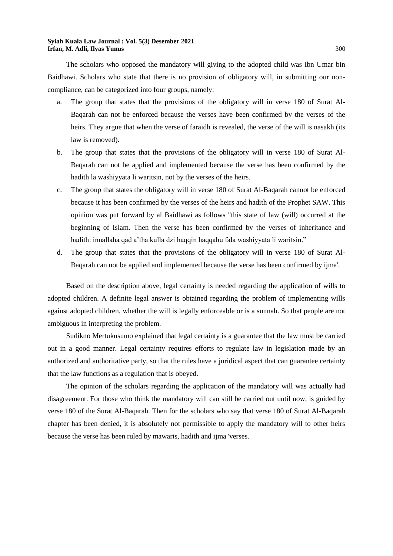The scholars who opposed the mandatory will giving to the adopted child was Ibn Umar bin Baidhawi. Scholars who state that there is no provision of obligatory will, in submitting our noncompliance, can be categorized into four groups, namely:

- a. The group that states that the provisions of the obligatory will in verse 180 of Surat Al-Baqarah can not be enforced because the verses have been confirmed by the verses of the heirs. They argue that when the verse of faraidh is revealed, the verse of the will is nasakh (its law is removed).
- b. The group that states that the provisions of the obligatory will in verse 180 of Surat Al-Baqarah can not be applied and implemented because the verse has been confirmed by the hadith la washiyyata li waritsin, not by the verses of the heirs.
- c. The group that states the obligatory will in verse 180 of Surat Al-Baqarah cannot be enforced because it has been confirmed by the verses of the heirs and hadith of the Prophet SAW. This opinion was put forward by al Baidhawi as follows "this state of law (will) occurred at the beginning of Islam. Then the verse has been confirmed by the verses of inheritance and hadith: innallaha qad a'tha kulla dzi haqqin haqqahu fala washiyyata li waritsin."
- d. The group that states that the provisions of the obligatory will in verse 180 of Surat Al-Baqarah can not be applied and implemented because the verse has been confirmed by ijma'.

Based on the description above, legal certainty is needed regarding the application of wills to adopted children. A definite legal answer is obtained regarding the problem of implementing wills against adopted children, whether the will is legally enforceable or is a sunnah. So that people are not ambiguous in interpreting the problem.

Sudikno Mertukusumo explained that legal certainty is a guarantee that the law must be carried out in a good manner. Legal certainty requires efforts to regulate law in legislation made by an authorized and authoritative party, so that the rules have a juridical aspect that can guarantee certainty that the law functions as a regulation that is obeyed.

The opinion of the scholars regarding the application of the mandatory will was actually had disagreement. For those who think the mandatory will can still be carried out until now, is guided by verse 180 of the Surat Al-Baqarah. Then for the scholars who say that verse 180 of Surat Al-Baqarah chapter has been denied, it is absolutely not permissible to apply the mandatory will to other heirs because the verse has been ruled by mawaris, hadith and ijma 'verses.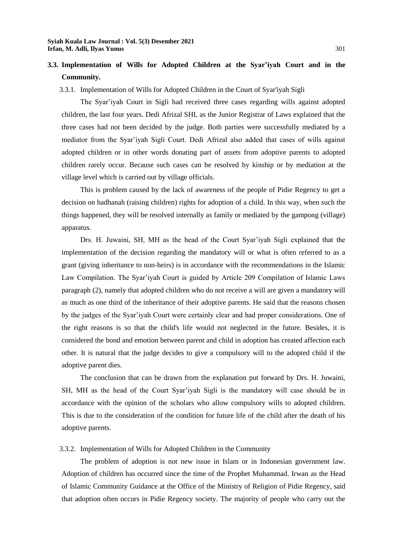### **3.3. Implementation of Wills for Adopted Children at the Syar'iyah Court and in the Community.**

#### 3.3.1. Implementation of Wills for Adopted Children in the Court of Syar'iyah Sigli

The Syar'iyah Court in Sigli had received three cases regarding wills against adopted children, the last four years. Dedi Afrizal SHI, as the Junior Registrar of Laws explained that the three cases had not been decided by the judge. Both parties were successfully mediated by a mediator from the Syar'iyah Sigli Court. Dedi Afrizal also added that cases of wills against adopted children or in other words donating part of assets from adoptive parents to adopted children rarely occur. Because such cases can be resolved by kinship or by mediation at the village level which is carried out by village officials.

This is problem caused by the lack of awareness of the people of Pidie Regency to get a decision on hadhanah (raising children) rights for adoption of a child. In this way, when such the things happened, they will be resolved internally as family or mediated by the gampong (village) apparatus.

Drs. H. Juwaini, SH, MH as the head of the Court Syar'iyah Sigli explained that the implementation of the decision regarding the mandatory will or what is often referred to as a grant (giving inheritance to non-heirs) is in accordance with the recommendations in the Islamic Law Compilation. The Syar'iyah Court is guided by Article 209 Compilation of Islamic Laws paragraph (2), namely that adopted children who do not receive a will are given a mandatory will as much as one third of the inheritance of their adoptive parents. He said that the reasons chosen by the judges of the Syar'iyah Court were certainly clear and had proper considerations. One of the right reasons is so that the child's life would not neglected in the future. Besides, it is considered the bond and emotion between parent and child in adoption has created affection each other. It is natural that the judge decides to give a compulsory will to the adopted child if the adoptive parent dies.

The conclusion that can be drawn from the explanation put forward by Drs. H. Juwaini, SH, MH as the head of the Court Syar'iyah Sigli is the mandatory will case should be in accordance with the opinion of the scholars who allow compulsory wills to adopted children. This is due to the consideration of the condition for future life of the child after the death of his adoptive parents.

#### 3.3.2. Implementation of Wills for Adopted Children in the Community

The problem of adoption is not new issue in Islam or in Indonesian government law. Adoption of children has occurred since the time of the Prophet Muhammad. Irwan as the Head of Islamic Community Guidance at the Office of the Ministry of Religion of Pidie Regency, said that adoption often occurs in Pidie Regency society. The majority of people who carry out the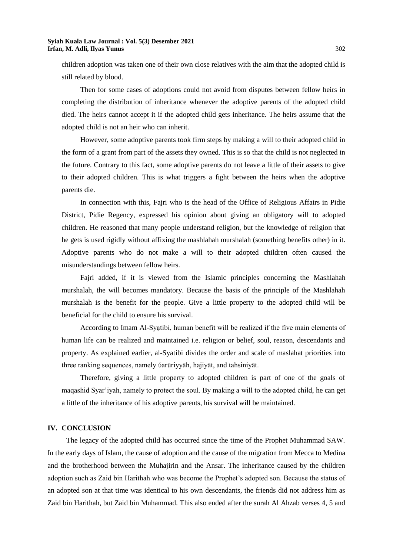children adoption was taken one of their own close relatives with the aim that the adopted child is still related by blood.

Then for some cases of adoptions could not avoid from disputes between fellow heirs in completing the distribution of inheritance whenever the adoptive parents of the adopted child died. The heirs cannot accept it if the adopted child gets inheritance. The heirs assume that the adopted child is not an heir who can inherit.

However, some adoptive parents took firm steps by making a will to their adopted child in the form of a grant from part of the assets they owned. This is so that the child is not neglected in the future. Contrary to this fact, some adoptive parents do not leave a little of their assets to give to their adopted children. This is what triggers a fight between the heirs when the adoptive parents die.

In connection with this, Fajri who is the head of the Office of Religious Affairs in Pidie District, Pidie Regency, expressed his opinion about giving an obligatory will to adopted children. He reasoned that many people understand religion, but the knowledge of religion that he gets is used rigidly without affixing the mashlahah murshalah (something benefits other) in it. Adoptive parents who do not make a will to their adopted children often caused the misunderstandings between fellow heirs.

Fajri added, if it is viewed from the Islamic principles concerning the Mashlahah murshalah, the will becomes mandatory. Because the basis of the principle of the Mashlahah murshalah is the benefit for the people. Give a little property to the adopted child will be beneficial for the child to ensure his survival.

According to Imam Al-Syạtibi, human benefit will be realized if the five main elements of human life can be realized and maintained i.e. religion or belief, soul, reason, descendants and property. As explained earlier, al-Syatibi divides the order and scale of maslahat priorities into three ranking sequences, namely ύarūriyyāh, hajiyāt, and tahsiniyāt.

Therefore, giving a little property to adopted children is part of one of the goals of maqashid Syar'iyah, namely to protect the soul. By making a will to the adopted child, he can get a little of the inheritance of his adoptive parents, his survival will be maintained.

#### **IV. CONCLUSION**

The legacy of the adopted child has occurred since the time of the Prophet Muhammad SAW. In the early days of Islam, the cause of adoption and the cause of the migration from Mecca to Medina and the brotherhood between the Muhajirin and the Ansar. The inheritance caused by the children adoption such as Zaid bin Harithah who was become the Prophet's adopted son. Because the status of an adopted son at that time was identical to his own descendants, the friends did not address him as Zaid bin Harithah, but Zaid bin Muhammad. This also ended after the surah Al Ahzab verses 4, 5 and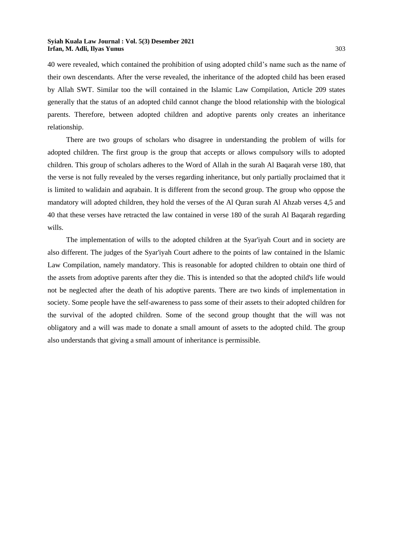40 were revealed, which contained the prohibition of using adopted child's name such as the name of their own descendants. After the verse revealed, the inheritance of the adopted child has been erased by Allah SWT. Similar too the will contained in the Islamic Law Compilation, Article 209 states generally that the status of an adopted child cannot change the blood relationship with the biological parents. Therefore, between adopted children and adoptive parents only creates an inheritance relationship.

There are two groups of scholars who disagree in understanding the problem of wills for adopted children. The first group is the group that accepts or allows compulsory wills to adopted children. This group of scholars adheres to the Word of Allah in the surah Al Baqarah verse 180, that the verse is not fully revealed by the verses regarding inheritance, but only partially proclaimed that it is limited to walidain and aqrabain. It is different from the second group. The group who oppose the mandatory will adopted children, they hold the verses of the Al Quran surah Al Ahzab verses 4,5 and 40 that these verses have retracted the law contained in verse 180 of the surah Al Baqarah regarding wills.

The implementation of wills to the adopted children at the Syar'iyah Court and in society are also different. The judges of the Syar'iyah Court adhere to the points of law contained in the Islamic Law Compilation, namely mandatory. This is reasonable for adopted children to obtain one third of the assets from adoptive parents after they die. This is intended so that the adopted child's life would not be neglected after the death of his adoptive parents. There are two kinds of implementation in society. Some people have the self-awareness to pass some of their assets to their adopted children for the survival of the adopted children. Some of the second group thought that the will was not obligatory and a will was made to donate a small amount of assets to the adopted child. The group also understands that giving a small amount of inheritance is permissible.